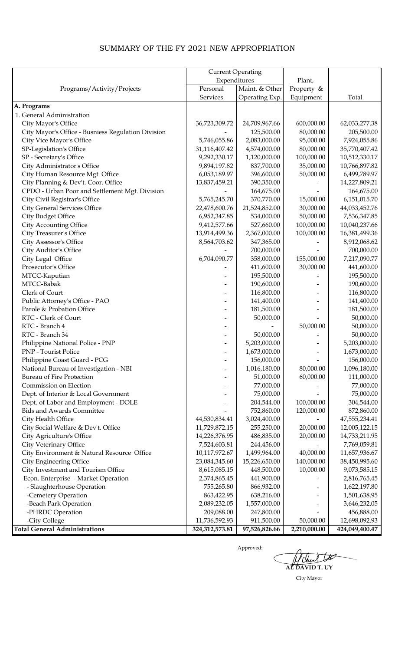## SUMMARY OF THE FY 2021 NEW APPROPRIATION

|                                                    | <b>Current Operating</b>     |                            |              |                |
|----------------------------------------------------|------------------------------|----------------------------|--------------|----------------|
|                                                    | Expenditures                 |                            | Plant,       |                |
| Programs/Activity/Projects                         | Personal                     | Maint. & Other             | Property &   |                |
|                                                    | Services                     | Operating Exp.             | Equipment    | Total          |
| A. Programs                                        |                              |                            |              |                |
| 1. General Administration                          |                              |                            |              |                |
| City Mayor's Office                                | 36,723,309.72                | 24,709,967.66              | 600,000.00   | 62,033,277.38  |
| City Mayor's Office - Busniess Regulation Division |                              | 125,500.00                 | 80,000.00    | 205,500.00     |
| City Vice Mayor's Office                           | 5,746,055.86                 | 2,083,000.00               | 95,000.00    | 7,924,055.86   |
| SP-Legislation's Office                            | 31,116,407.42                | 4,574,000.00               | 80,000.00    | 35,770,407.42  |
|                                                    |                              |                            | 100,000.00   |                |
| SP - Secretary's Office                            | 9,292,330.17                 | 1,120,000.00<br>837,700.00 | 35,000.00    | 10,512,330.17  |
| City Administrator's Office                        | 9,894,197.82<br>6,053,189.97 | 396,600.00                 | 50,000.00    | 10,766,897.82  |
| City Human Resource Mgt. Office                    |                              |                            |              | 6,499,789.97   |
| City Planning & Dev't. Coor. Office                | 13,837,459.21                | 390,350.00                 |              | 14,227,809.21  |
| CPDO - Urban Poor and Settlement Mgt. Division     |                              | 164,675.00                 |              | 164,675.00     |
| City Civil Registrar's Office                      | 5,765,245.70                 | 370,770.00                 | 15,000.00    | 6,151,015.70   |
| <b>City General Services Office</b>                | 22,478,600.76                | 21,524,852.00              | 30,000.00    | 44,033,452.76  |
| City Budget Office                                 | 6,952,347.85                 | 534,000.00                 | 50,000.00    | 7,536,347.85   |
| City Accounting Office                             | 9,412,577.66                 | 527,660.00                 | 100,000.00   | 10,040,237.66  |
| City Treasurer's Office                            | 13,914,499.36                | 2,367,000.00               | 100,000.00   | 16,381,499.36  |
| City Assessor's Office                             | 8,564,703.62                 | 347,365.00                 |              | 8,912,068.62   |
| City Auditor's Office                              |                              | 700,000.00                 |              | 700,000.00     |
| City Legal Office                                  | 6,704,090.77                 | 358,000.00                 | 155,000.00   | 7,217,090.77   |
| Prosecutor's Office                                |                              | 411,600.00                 | 30,000.00    | 441,600.00     |
| MTCC-Kaputian                                      |                              | 195,500.00                 |              | 195,500.00     |
| MTCC-Babak                                         |                              | 190,600.00                 |              | 190,600.00     |
| Clerk of Court                                     |                              | 116,800.00                 |              | 116,800.00     |
| Public Attorney's Office - PAO                     |                              | 141,400.00                 |              | 141,400.00     |
| Parole & Probation Office                          |                              | 181,500.00                 |              | 181,500.00     |
| RTC - Clerk of Court                               |                              | 50,000.00                  |              | 50,000.00      |
| RTC - Branch 4                                     |                              |                            | 50,000.00    | 50,000.00      |
| RTC - Branch 34                                    |                              | 50,000.00                  |              | 50,000.00      |
| Philippine National Police - PNP                   |                              | 5,203,000.00               |              | 5,203,000.00   |
| PNP - Tourist Police                               |                              | 1,673,000.00               |              | 1,673,000.00   |
| Philippine Coast Guard - PCG                       |                              | 156,000.00                 |              | 156,000.00     |
| National Bureau of Investigation - NBI             |                              | 1,016,180.00               | 80,000.00    | 1,096,180.00   |
| <b>Bureau of Fire Protection</b>                   |                              | 51,000.00                  | 60,000.00    | 111,000.00     |
| Commission on Election                             |                              | 77,000.00                  |              | 77,000.00      |
| Dept. of Interior & Local Government               |                              | 75,000.00                  |              | 75,000.00      |
| Dept. of Labor and Employment - DOLE               |                              | 204,544.00                 | 100,000.00   | 304,544.00     |
| <b>Bids and Awards Committee</b>                   |                              | 752,860.00                 | 120,000.00   | 872,860.00     |
| City Health Office                                 | 44,530,834.41                | 3,024,400.00               |              | 47,555,234.41  |
| City Social Welfare & Dev't. Office                | 11,729,872.15                | 255,250.00                 | 20,000.00    | 12,005,122.15  |
| City Agriculture's Office                          | 14,226,376.95                | 486,835.00                 | 20,000.00    | 14,733,211.95  |
| City Veterinary Office                             | 7,524,603.81                 | 244,456.00                 |              | 7,769,059.81   |
| City Environment & Natural Resource Office         | 10,117,972.67                | 1,499,964.00               | 40,000.00    | 11,657,936.67  |
| City Engineering Office                            | 23,084,345.60                | 15,226,650.00              | 140,000.00   | 38,450,995.60  |
| City Investment and Tourism Office                 | 8,615,085.15                 | 448,500.00                 | 10,000.00    | 9,073,585.15   |
| Econ. Enterprise - Market Operation                | 2,374,865.45                 | 441,900.00                 |              | 2,816,765.45   |
| - Slaughterhouse Operation                         | 755,265.80                   | 866,932.00                 |              | 1,622,197.80   |
| -Cemetery Operation                                | 863,422.95                   | 638,216.00                 |              | 1,501,638.95   |
| -Beach Park Operation                              | 2,089,232.05                 | 1,557,000.00               |              | 3,646,232.05   |
| -PHRDC Operation                                   | 209,088.00                   | 247,800.00                 |              | 456,888.00     |
| -City College                                      | 11,736,592.93                | 911,500.00                 | 50,000.00    | 12,698,092.93  |
| <b>Total General Administrations</b>               | 324, 312, 573.81             | 97,526,826.66              | 2,210,000.00 | 424,049,400.47 |

Æ **AL DAVID T. UY**

City Mayor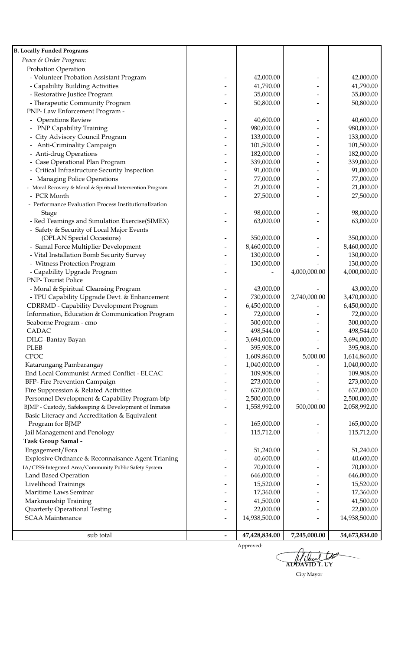| <b>B. Locally Funded Programs</b>                                                 |                              |                            |              |                            |
|-----------------------------------------------------------------------------------|------------------------------|----------------------------|--------------|----------------------------|
| Peace & Order Program:                                                            |                              |                            |              |                            |
| Probation Operation                                                               |                              |                            |              |                            |
| - Volunteer Probation Assistant Program                                           |                              | 42,000.00                  |              | 42,000.00                  |
| - Capability Building Activities                                                  |                              | 41,790.00                  |              | 41,790.00                  |
| - Restorative Justice Program                                                     |                              | 35,000.00                  |              | 35,000.00                  |
| - Therapeutic Community Program                                                   |                              | 50,800.00                  |              | 50,800.00                  |
| PNP-Law Enforcement Program -                                                     |                              |                            |              |                            |
| - Operations Review                                                               |                              | 40,600.00                  |              | 40,600.00                  |
| PNP Capability Training                                                           |                              | 980,000.00                 |              | 980,000.00                 |
| City Advisory Council Program                                                     |                              | 133,000.00                 |              | 133,000.00                 |
| Anti-Criminality Campaign                                                         |                              | 101,500.00                 |              | 101,500.00                 |
| Anti-drug Operations                                                              |                              | 182,000.00                 |              | 182,000.00                 |
| Case Operational Plan Program                                                     |                              | 339,000.00                 |              | 339,000.00                 |
| Critical Infrastructure Security Inspection                                       |                              | 91,000.00                  |              | 91,000.00                  |
| Managing Police Operations                                                        |                              | 77,000.00                  |              | 77,000.00                  |
| - Moral Recovery & Moral & Spiritual Intervention Program                         |                              | 21,000.00                  |              | 21,000.00                  |
| - PCR Month                                                                       |                              | 27,500.00                  |              | 27,500.00                  |
| - Performance Evaluation Process Institutionalization                             |                              |                            |              |                            |
| <b>Stage</b>                                                                      |                              | 98,000.00                  |              | 98,000.00                  |
| - Red Teamings and Simulation Exercise(SIMEX)                                     |                              | 63,000.00                  |              | 63,000.00                  |
| - Safety & Security of Local Major Events                                         |                              |                            |              |                            |
| (OPLAN Special Occasions)                                                         |                              | 350,000.00                 |              | 350,000.00                 |
| - Samal Force Multiplier Development<br>- Vital Installation Bomb Security Survey |                              | 8,460,000.00<br>130,000.00 |              | 8,460,000.00<br>130,000.00 |
| - Witness Protection Program                                                      |                              | 130,000.00                 |              | 130,000.00                 |
| - Capability Upgrade Program                                                      |                              |                            | 4,000,000.00 | 4,000,000.00               |
| <b>PNP-Tourist Police</b>                                                         |                              |                            |              |                            |
| - Moral & Spiritual Cleansing Program                                             |                              | 43,000.00                  |              | 43,000.00                  |
| - TPU Capability Upgrade Devt. & Enhancement                                      |                              | 730,000.00                 | 2,740,000.00 | 3,470,000.00               |
| <b>CDRRMD - Capability Development Program</b>                                    |                              | 6,450,000.00               |              | 6,450,000.00               |
| Information, Education & Communication Program                                    |                              | 72,000.00                  |              | 72,000.00                  |
| Seaborne Program - cmo                                                            |                              | 300,000.00                 |              | 300,000.00                 |
| CADAC                                                                             |                              | 498,544.00                 |              | 498,544.00                 |
| DILG -Bantay Bayan                                                                |                              | 3,694,000.00               |              | 3,694,000.00               |
| <b>PLEB</b>                                                                       | $\qquad \qquad \blacksquare$ | 395,908.00                 |              | 395,908.00                 |
| <b>CPOC</b>                                                                       | $\overline{\phantom{a}}$     | 1,609,860.00               | 5,000.00     | 1,614,860.00               |
| Katarungang Pambarangay                                                           | $\overline{\phantom{a}}$     | 1,040,000.00               |              | 1,040,000.00               |
| End Local Communist Armed Conflict - ELCAC                                        | $\overline{\phantom{a}}$     | 109,908.00                 |              | 109,908.00                 |
| BFP- Fire Prevention Campaign                                                     | $\qquad \qquad$              | 273,000.00                 |              | 273,000.00                 |
| Fire Suppression & Related Activities                                             |                              | 637,000.00                 |              | 637,000.00                 |
| Personnel Development & Capability Program-bfp                                    |                              | 2,500,000.00               |              | 2,500,000.00               |
| BJMP - Custody, Safekeeping & Development of Inmates                              |                              | 1,558,992.00               | 500,000.00   | 2,058,992.00               |
| Basic Literacy and Accreditation & Equivalent                                     |                              |                            |              |                            |
| Program for BJMP                                                                  |                              | 165,000.00                 |              | 165,000.00                 |
| Jail Management and Penology                                                      |                              | 115,712.00                 |              | 115,712.00                 |
| Task Group Samal -                                                                |                              |                            |              |                            |
| Engagement/Fora                                                                   |                              | 51,240.00                  |              | 51,240.00                  |
| Explosive Ordnance & Reconnaisance Agent Trianing                                 |                              | 40,600.00                  |              | 40,600.00                  |
| IA/CPSS-Integrated Area/Community Public Safety System                            |                              | 70,000.00                  |              | 70,000.00                  |
| Land Based Operation                                                              |                              | 646,000.00                 |              | 646,000.00                 |
| Livelihood Trainings                                                              |                              | 15,520.00                  |              | 15,520.00                  |
| Maritime Laws Seminar                                                             |                              | 17,360.00                  |              | 17,360.00                  |
| Markmanship Training                                                              |                              | 41,500.00                  |              | 41,500.00                  |
| Quarterly Operational Testing                                                     |                              | 22,000.00                  |              | 22,000.00                  |
| <b>SCAA Maintenance</b>                                                           | $\overline{\phantom{a}}$     | 14,938,500.00              |              | 14,938,500.00              |
|                                                                                   |                              |                            |              |                            |
| sub total                                                                         | $\blacksquare$               | 47,428,834.00              | 7,245,000.00 | 54,673,834.00              |

**AL DAVID T. UY**

City Mayor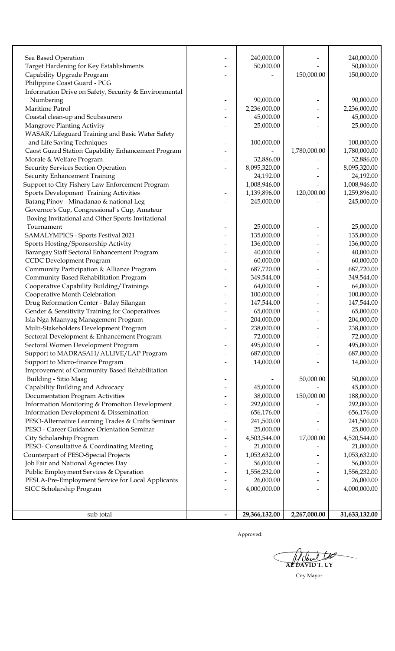| Sea Based Operation                                                           | 240,000.00              |              | 240,000.00              |
|-------------------------------------------------------------------------------|-------------------------|--------------|-------------------------|
| Target Hardening for Key Establishments                                       | 50,000.00               |              | 50,000.00               |
| Capability Upgrade Program                                                    |                         | 150,000.00   | 150,000.00              |
| Philippine Coast Guard - PCG                                                  |                         |              |                         |
| Information Drive on Safety, Security & Environmental                         |                         |              |                         |
| Numbering                                                                     | 90,000.00               |              | 90,000.00               |
| Maritime Patrol                                                               | 2,236,000.00            |              | 2,236,000.00            |
| Coastal clean-up and Scubasurero                                              | 45,000.00               |              | 45,000.00               |
| Mangrove Planting Activity                                                    | 25,000.00               |              | 25,000.00               |
| WASAR/Lifeguard Training and Basic Water Safety                               |                         |              |                         |
| and Life Saving Techniques                                                    | 100,000.00              |              | 100,000.00              |
| Caost Guard Station Capability Enhancement Program                            |                         | 1,780,000.00 | 1,780,000.00            |
| Morale & Welfare Program                                                      | 32,886.00               |              | 32,886.00               |
| Security Services Section Operation                                           | 8,095,320.00            |              | 8,095,320.00            |
| Security Enhancement Training                                                 | 24,192.00               |              | 24,192.00               |
| Support to City Fishery Law Enforcement Program                               | 1,008,946.00            |              | 1,008,946.00            |
| Sports Development Training Activities                                        | 1,139,896.00            | 120,000.00   | 1,259,896.00            |
| Batang Pinoy - Minadanao & national Leg                                       | 245,000.00              |              | 245,000.00              |
| Governor's Cup, Congressional"s Cup, Amateur                                  |                         |              |                         |
| Boxing Invitational and Other Sports Invitational                             |                         |              |                         |
| Tournament                                                                    | 25,000.00               |              | 25,000.00               |
| SAMALYMPICS - Sports Festival 2021                                            | 135,000.00              |              | 135,000.00              |
| Sports Hosting/Sponsorship Activity                                           | 136,000.00              |              | 136,000.00              |
| Barangay Staff Sectoral Enhancement Program                                   | 40,000.00               |              | 40,000.00               |
| <b>CCDC</b> Development Program<br>Community Participation & Alliance Program | 60,000.00<br>687,720.00 |              | 60,000.00<br>687,720.00 |
| Community Based Rehabilitation Program                                        | 349,544.00              |              | 349,544.00              |
| Cooperative Capability Building/Trainings                                     | 64,000.00               |              | 64,000.00               |
| Cooperative Month Celebration                                                 | 100,000.00              |              | 100,000.00              |
| Drug Reformation Center - Balay Silangan                                      | 147,544.00              |              | 147,544.00              |
| Gender & Sensitivity Training for Cooperatives                                | 65,000.00               |              | 65,000.00               |
| Isla Nga Maanyag Management Program                                           | 204,000.00              |              | 204,000.00              |
| Multi-Stakeholders Development Program                                        | 238,000.00              |              | 238,000.00              |
| Sectoral Development & Enhancement Program                                    | 72,000.00               |              | 72,000.00               |
| Sectoral Women Development Program                                            | 495,000.00              |              | 495,000.00              |
| Support to MADRASAH/ALLIVE/LAP Program                                        | 687,000.00              |              | 687,000.00              |
| Support to Micro-finance Program                                              | 14,000.00               |              | 14,000.00               |
| Improvement of Community Based Rehabilitation                                 |                         |              |                         |
| Building - Sitio Maag                                                         |                         | 50,000.00    | 50,000.00               |
| Capability Building and Advocacy                                              | 45,000.00               |              | 45,000.00               |
| Documentation Program Activities                                              | 38,000.00               | 150,000.00   | 188,000.00              |
| Information Monitoring & Promotion Development                                | 292,000.00              |              | 292,000.00              |
| Information Development & Dissemination                                       | 656,176.00              |              | 656,176.00              |
| PESO-Alternative Learning Trades & Crafts Seminar                             | 241,500.00              |              | 241,500.00              |
| PESO - Career Guidance Orientation Seminar                                    | 25,000.00               |              | 25,000.00               |
| City Scholarship Program                                                      | 4,503,544.00            | 17,000.00    | 4,520,544.00            |
| PESO- Consultative & Coordinating Meeting                                     | 21,000.00               |              | 21,000.00               |
| Counterpart of PESO-Special Projects                                          | 1,053,632.00            |              | 1,053,632.00            |
| Job Fair and National Agencies Day                                            | 56,000.00               |              | 56,000.00               |
| Public Employment Services & Operation                                        | 1,556,232.00            |              | 1,556,232.00            |
| PESLA-Pre-Employment Service for Local Applicants                             | 26,000.00               |              | 26,000.00               |
| SICC Scholarship Program                                                      | 4,000,000.00            |              | 4,000,000.00            |
|                                                                               |                         |              |                         |
|                                                                               |                         |              |                         |
| sub total                                                                     | 29,366,132.00           | 2,267,000.00 | 31,633,132.00           |

**AL DAVID T. UY**

City Mayor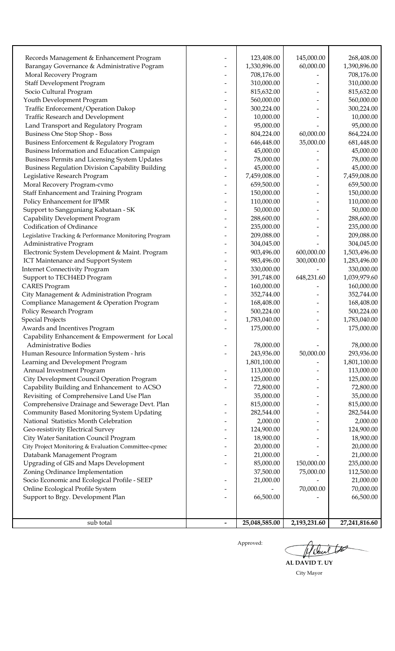| Records Management & Enhancement Program                | 123,408.00    | 145,000.00   | 268,408.00    |
|---------------------------------------------------------|---------------|--------------|---------------|
| Barangay Governance & Administrative Pogram             | 1,330,896.00  | 60,000.00    | 1,390,896.00  |
| Moral Recovery Program                                  | 708,176.00    |              | 708,176.00    |
| <b>Staff Development Program</b>                        | 310,000.00    |              | 310,000.00    |
| Socio Cultural Program                                  | 815,632.00    |              | 815,632.00    |
| Youth Development Program                               | 560,000.00    |              | 560,000.00    |
| Traffic Enforcement/Operation Dakop                     | 300,224.00    |              | 300,224.00    |
| Traffic Research and Development                        | 10,000.00     |              | 10,000.00     |
| Land Transport and Regulatory Program                   | 95,000.00     |              | 95,000.00     |
| Business One Stop Shop - Boss                           | 804,224.00    | 60,000.00    | 864,224.00    |
| Business Enforcement & Regulatory Program               | 646,448.00    | 35,000.00    | 681,448.00    |
| Business Information and Education Campaign             | 45,000.00     |              | 45,000.00     |
| Business Permits and Licensing System Updates           | 78,000.00     |              | 78,000.00     |
| <b>Business Regulation Division Capability Building</b> | 45,000.00     |              | 45,000.00     |
| Legislative Research Program                            | 7,459,008.00  |              | 7,459,008.00  |
| Moral Recovery Program-cvmo                             | 659,500.00    |              | 659,500.00    |
| Staff Enhancement and Training Program                  | 150,000.00    |              | 150,000.00    |
| Policy Enhancement for IPMR                             | 110,000.00    |              | 110,000.00    |
| Support to Sangguniang Kabataan - SK                    | 50,000.00     |              | 50,000.00     |
| Capability Development Program                          | 288,600.00    |              | 288,600.00    |
| Codification of Ordinance                               | 235,000.00    |              | 235,000.00    |
| Legislative Tracking & Performance Monitoring Program   | 209,088.00    |              | 209,088.00    |
| Administrative Program                                  | 304,045.00    |              | 304,045.00    |
| Electronic System Development & Maint. Program          | 903,496.00    | 600,000.00   | 1,503,496.00  |
| ICT Maintenance and Support System                      | 983,496.00    | 300,000.00   | 1,283,496.00  |
| <b>Internet Connectivity Program</b>                    | 330,000.00    |              | 330,000.00    |
| Support to TECH4ED Program                              | 391,748.00    | 648,231.60   | 1,039,979.60  |
| <b>CARES</b> Program                                    | 160,000.00    |              | 160,000.00    |
| City Management & Administration Program                | 352,744.00    |              | 352,744.00    |
| Compliance Management & Operation Program               | 168,408.00    |              | 168,408.00    |
| Policy Research Program                                 | 500,224.00    |              | 500,224.00    |
| <b>Special Projects</b>                                 | 1,783,040.00  |              | 1,783,040.00  |
| Awards and Incentives Program                           | 175,000.00    |              | 175,000.00    |
| Capability Enhancement & Empowerment for Local          |               |              |               |
| Administrative Bodies                                   | 78,000.00     |              | 78,000.00     |
| Human Resource Information System - hris                | 243,936.00    | 50,000.00    | 293,936.00    |
| Learning and Development Program                        | 1,801,100.00  |              | 1,801,100.00  |
| Annual Investment Program                               | 113,000.00    |              | 113,000.00    |
| City Development Council Operation Program              | 125,000.00    |              | 125,000.00    |
| Capability Building and Enhancement to ACSO             | 72,800.00     |              | 72,800.00     |
| Revisiting of Comprehensive Land Use Plan               | 35,000.00     |              | 35,000.00     |
| Comprehensive Drainage and Sewerage Devt. Plan          | 815,000.00    |              | 815,000.00    |
| Community Based Monitoring System Updating              | 282,544.00    |              | 282,544.00    |
| National Statistics Month Celebration                   | 2,000.00      |              | 2,000.00      |
| Geo-resistivity Electrical Survey                       | 124,900.00    |              | 124,900.00    |
| City Water Sanitation Council Program                   | 18,900.00     |              | 18,900.00     |
| City Project Monitoring & Evaluation Committee-cpmec    | 20,000.00     |              | 20,000.00     |
| Databank Management Program                             | 21,000.00     |              | 21,000.00     |
| Upgrading of GIS and Maps Development                   | 85,000.00     | 150,000.00   | 235,000.00    |
| Zoning Ordinance Implementation                         | 37,500.00     | 75,000.00    | 112,500.00    |
| Socio Economic and Ecological Profile - SEEP            | 21,000.00     |              | 21,000.00     |
| Online Ecological Profile System                        |               | 70,000.00    | 70,000.00     |
| Support to Brgy. Development Plan                       | 66,500.00     |              | 66,500.00     |
|                                                         |               |              |               |
|                                                         |               |              |               |
| sub total                                               | 25,048,585.00 | 2,193,231.60 | 27,241,816.60 |

to Holen **AL DAVID T. UY**

City Mayor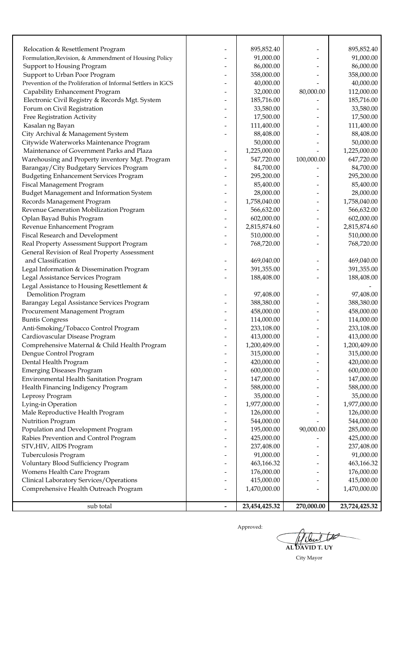|                                                                                            | 895,852.40    |            | 895,852.40    |
|--------------------------------------------------------------------------------------------|---------------|------------|---------------|
| Relocation & Resettlement Program<br>Formulation, Revision, & Ammendment of Housing Policy | 91,000.00     |            | 91,000.00     |
| Support to Housing Program                                                                 | 86,000.00     |            | 86,000.00     |
| Support to Urban Poor Program                                                              | 358,000.00    |            | 358,000.00    |
| Prevention of the Proliferation of Informal Settlers in IGCS                               | 40,000.00     |            | 40,000.00     |
| Capability Enhancement Program                                                             | 32,000.00     | 80,000.00  | 112,000.00    |
| Electronic Civil Registry & Records Mgt. System                                            | 185,716.00    |            | 185,716.00    |
| Forum on Civil Registration                                                                | 33,580.00     |            | 33,580.00     |
| Free Registration Activity                                                                 | 17,500.00     |            | 17,500.00     |
| Kasalan ng Bayan                                                                           | 111,400.00    |            | 111,400.00    |
| City Archival & Management System                                                          | 88,408.00     |            | 88,408.00     |
| Citywide Waterworks Maintenance Program                                                    | 50,000.00     |            | 50,000.00     |
| Maintenance of Government Parks and Plaza                                                  | 1,225,000.00  |            | 1,225,000.00  |
| Warehousing and Property inventory Mgt. Program                                            | 547,720.00    | 100,000.00 | 647,720.00    |
| Barangay/City Budgetary Services Program                                                   | 84,700.00     |            | 84,700.00     |
| <b>Budgeting Enhancement Services Program</b>                                              | 295,200.00    |            | 295,200.00    |
| Fiscal Management Program                                                                  | 85,400.00     |            | 85,400.00     |
| Budget Management and Information System                                                   | 28,000.00     |            | 28,000.00     |
| Records Management Program                                                                 | 1,758,040.00  |            | 1,758,040.00  |
| Revenue Generation Mobilization Program                                                    | 566,632.00    |            | 566,632.00    |
| Oplan Bayad Buhis Program                                                                  | 602,000.00    |            | 602,000.00    |
| Revenue Enhancement Program                                                                | 2,815,874.60  |            | 2,815,874.60  |
| Fiscal Research and Development                                                            | 510,000.00    |            | 510,000.00    |
| Real Property Assessment Support Program                                                   | 768,720.00    |            | 768,720.00    |
| General Revision of Real Property Assessment                                               |               |            |               |
| and Classification                                                                         | 469,040.00    |            | 469,040.00    |
| Legal Information & Dissemination Program                                                  | 391,355.00    |            | 391,355.00    |
| Legal Assistance Services Program                                                          | 188,408.00    |            | 188,408.00    |
| Legal Assistance to Housing Resettlement &                                                 |               |            |               |
| Demolition Program                                                                         | 97,408.00     |            | 97,408.00     |
| Barangay Legal Assistance Services Program                                                 | 388,380.00    |            | 388,380.00    |
| Procurement Management Program                                                             | 458,000.00    |            | 458,000.00    |
| <b>Buntis Congress</b>                                                                     | 114,000.00    |            | 114,000.00    |
| Anti-Smoking/Tobacco Control Program                                                       | 233,108.00    |            | 233,108.00    |
| Cardiovascular Disease Program                                                             | 413,000.00    |            | 413,000.00    |
| Comprehensive Maternal & Child Health Program                                              | 1,200,409.00  |            | 1,200,409.00  |
| Dengue Control Program                                                                     | 315,000.00    |            | 315,000.00    |
| Dental Health Program                                                                      | 420,000.00    |            | 420,000.00    |
| <b>Emerging Diseases Program</b>                                                           | 600,000.00    |            | 600,000.00    |
| Environmental Health Sanitation Program                                                    | 147,000.00    |            | 147,000.00    |
| Health Financing Indigency Program                                                         | 588,000.00    |            | 588,000.00    |
| Leprosy Program                                                                            | 35,000.00     |            | 35,000.00     |
| Lying-in Operation                                                                         | 1,977,000.00  |            | 1,977,000.00  |
| Male Reproductive Health Program                                                           | 126,000.00    |            | 126,000.00    |
| Nutrition Program                                                                          | 544,000.00    |            | 544,000.00    |
| Population and Development Program                                                         | 195,000.00    | 90,000.00  | 285,000.00    |
| Rabies Prevention and Control Program                                                      | 425,000.00    |            | 425,000.00    |
| STV, HIV, AIDS Program                                                                     | 237,408.00    |            | 237,408.00    |
| Tuberculosis Program                                                                       | 91,000.00     |            | 91,000.00     |
| Voluntary Blood Sufficiency Program                                                        | 463,166.32    |            | 463,166.32    |
| Womens Health Care Program                                                                 | 176,000.00    |            | 176,000.00    |
| Clinical Laboratory Services/Operations                                                    | 415,000.00    |            | 415,000.00    |
| Comprehensive Health Outreach Program                                                      | 1,470,000.00  |            | 1,470,000.00  |
|                                                                                            |               |            |               |
| sub total                                                                                  | 23,454,425.32 | 270,000.00 | 23,724,425.32 |

Holand to € **AL DAVID T. UY**

City Mayor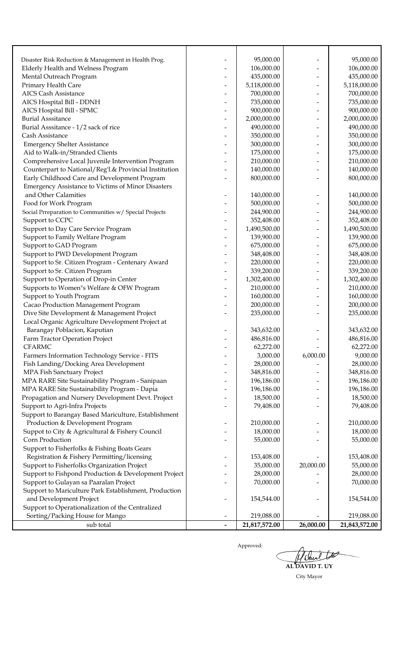| Disaster Risk Reduction & Management in Health Prog.      | 95,000.00     |           | 95,000.00     |
|-----------------------------------------------------------|---------------|-----------|---------------|
| Elderly Health and Welness Program                        | 106,000.00    |           | 106,000.00    |
| Mental Outreach Program                                   | 435,000.00    |           | 435,000.00    |
| Primary Health Care                                       | 5,118,000.00  |           | 5,118,000.00  |
| <b>AICS Cash Assistance</b>                               | 700,000.00    |           | 700,000.00    |
| AICS Hospital Bill - DDNH                                 | 735,000.00    |           | 735,000.00    |
| AICS Hospital Bill - SPMC                                 | 900,000.00    |           | 900,000.00    |
| <b>Burial Asssitance</b>                                  | 2,000,000.00  |           | 2,000,000.00  |
| Burial Asssitance - 1/2 sack of rice                      | 490,000.00    |           | 490,000.00    |
| Cash Assistance                                           | 350,000.00    |           | 350,000.00    |
| <b>Emergency Shelter Assistance</b>                       | 300,000.00    |           | 300,000.00    |
| Aid to Walk-in/Stranded Clients                           | 175,000.00    |           | 175,000.00    |
| Comprehensive Local Juvenile Intervention Program         | 210,000.00    |           | 210,000.00    |
| Counterpart to National/Reg'l.& Provincial Institution    | 140,000.00    |           | 140,000.00    |
| Early Childhood Care and Development Program              | 800,000.00    |           | 800,000.00    |
| <b>Emergency Assistance to Victims of Minor Disasters</b> |               |           |               |
| and Other Calamities                                      | 140,000.00    |           | 140,000.00    |
| Food for Work Program                                     | 500,000.00    |           | 500,000.00    |
| Social Prreparation to Communities w/ Special Projects    | 244,900.00    |           | 244,900.00    |
| Support to CCPC                                           | 352,408.00    |           | 352,408.00    |
| Support to Day Care Service Program                       | 1,490,500.00  |           | 1,490,500.00  |
| Support to Family Welfare Program                         | 139,900.00    |           | 139,900.00    |
| Support to GAD Program                                    | 675,000.00    |           | 675,000.00    |
| Support to PWD Development Program                        | 348,408.00    |           | 348,408.00    |
| Support to Sr. Citizen Program - Centenary Award          | 220,000.00    |           | 220,000.00    |
| Support to Sr. Citizen Program                            | 339,200.00    |           | 339,200.00    |
| Support to Operation of Drop-in Center                    | 1,302,400.00  |           | 1,302,400.00  |
| Supports to Women"s Welfare & OFW Program                 | 210,000.00    |           | 210,000.00    |
| Support to Youth Program                                  | 160,000.00    |           | 160,000.00    |
| Cacao Production Management Program                       | 200,000.00    |           | 200,000.00    |
| Dive Site Development & Management Project                | 235,000.00    |           | 235,000.00    |
| Local Organic Agriculture Development Project at          |               |           |               |
| Barangay Poblacion, Kaputian                              | 343,632.00    |           | 343,632.00    |
| Farm Tractor Operation Project                            | 486,816.00    |           | 486,816.00    |
| <b>CFARMC</b>                                             | 62,272.00     |           | 62,272.00     |
| Farmers Information Technology Service - FITS             | 3,000.00      | 6,000.00  | 9,000.00      |
| Fish Landing/Docking Area Development                     | 28,000.00     |           | 28,000.00     |
| MPA Fish Sanctuary Project                                | 348,816.00    |           | 348,816.00    |
| MPA RARE Site Sustainability Program - Sanipaan           | 196,186.00    |           | 196,186.00    |
| MPA RARE Site Sustainability Program - Dapia              | 196,186.00    |           | 196,186.00    |
| Propagation and Nursery Development Devt. Project         | 18,500.00     |           | 18,500.00     |
| Support to Agri-Infra Projects                            | 79,408.00     |           | 79,408.00     |
| Support to Barangay Based Mariculture, Establishment      |               |           |               |
| Production & Development Program                          | 210,000.00    |           | 210,000.00    |
| Suppot to City & Agricultural & Fishery Council           | 18,000.00     |           | 18,000.00     |
| Corn Production                                           | 55,000.00     |           | 55,000.00     |
| Support to Fisherfolks & Fishing Boats Gears              |               |           |               |
| Registration & Fishery Permitting/licensing               | 153,408.00    |           | 153,408.00    |
| Support to Fisherfolks Organization Project               | 35,000.00     | 20,000.00 | 55,000.00     |
| Support to Fishpond Production & Development Project      | 28,000.00     |           | 28,000.00     |
| Support to Gulayan sa Paaralan Project                    | 70,000.00     |           | 70,000.00     |
| Support to Mariculture Park Establishment, Production     |               |           |               |
| and Development Project                                   | 154,544.00    |           | 154,544.00    |
| Support to Operationalization of the Centralized          |               |           |               |
| Sorting/Packing House for Mango                           | 219,088.00    |           | 219,088.00    |
| sub total                                                 | 21,817,572.00 | 26,000.00 | 21,843,572.00 |

tr Have Ĉ **AL DAVID T. UY**

City Mayor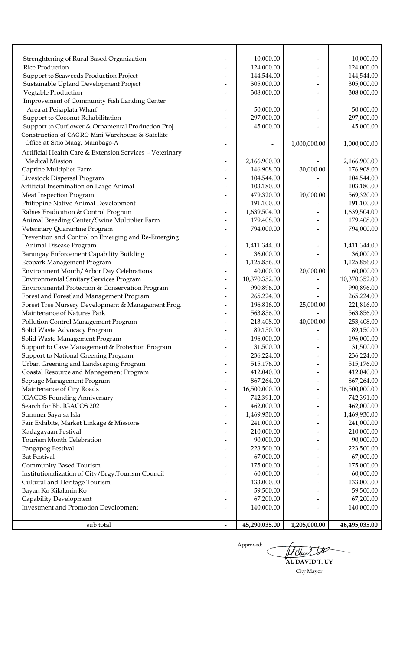| <b>Investment and Promotion Development</b>                                      | 140,000.00                  |                                             | 140,000.00                  |
|----------------------------------------------------------------------------------|-----------------------------|---------------------------------------------|-----------------------------|
| Capability Development                                                           | 67,200.00                   |                                             | 67,200.00                   |
| Bayan Ko Kilalanin Ko                                                            | 59,500.00                   |                                             | 59,500.00                   |
| Cultural and Heritage Tourism                                                    | 133,000.00                  |                                             | 133,000.00                  |
| Institutionalization of City/Brgy.Tourism Council                                | 60,000.00                   |                                             | 60,000.00                   |
| Community Based Tourism                                                          | 175,000.00                  |                                             | 175,000.00                  |
| <b>Bat Festival</b>                                                              | 67,000.00                   |                                             | 67,000.00                   |
| Pangapog Festival                                                                | 223,500.00                  |                                             | 223,500.00                  |
| Tourism Month Celebration                                                        | 90,000.00                   |                                             | 90,000.00                   |
| Kadagayaan Festival                                                              | 210,000.00                  | $\overline{\phantom{0}}$                    | 210,000.00                  |
| Fair Exhibits, Market Linkage & Missions                                         | 241,000.00                  |                                             | 241,000.00                  |
| Summer Saya sa Isla                                                              | 1,469,930.00                |                                             | 1,469,930.00                |
| Search for Bb. IGACOS 2021                                                       | 462,000.00                  | $\qquad \qquad$<br>$\overline{\phantom{0}}$ | 462,000.00                  |
| <b>IGACOS Founding Anniversary</b>                                               | 16,500,000.00<br>742,391.00 |                                             | 16,500,000.00<br>742,391.00 |
| Septage Management Program<br>Maintenance of City Roads                          | 867,264.00                  |                                             | 867,264.00                  |
| Coastal Resource and Management Program                                          |                             |                                             | 412,040.00                  |
| Urban Greening and Landscaping Program                                           | 515,176.00<br>412,040.00    |                                             | 515,176.00                  |
| Support to National Greening Program                                             | 236,224.00                  |                                             | 236,224.00                  |
| Support to Cave Management & Protection Program                                  | 31,500.00                   |                                             | 31,500.00                   |
| Solid Waste Management Program                                                   | 196,000.00                  |                                             | 196,000.00                  |
| Solid Waste Advocacy Program                                                     | 89,150.00                   |                                             | 89,150.00                   |
| Pollution Control Management Program                                             | 213,408.00                  | 40,000.00                                   | 253,408.00                  |
| Maintenance of Natures Park                                                      | 563,856.00                  |                                             | 563,856.00                  |
| Forest Tree Nursery Development & Management Prog.                               | 196,816.00                  | 25,000.00                                   | 221,816.00                  |
| Forest and Forestland Management Program                                         | 265,224.00                  |                                             | 265,224.00                  |
| Environmental Protection & Conservation Program                                  | 990,896.00                  |                                             | 990,896.00                  |
| <b>Environmental Sanitary Services Program</b>                                   | 10,370,352.00               |                                             | 10,370,352.00               |
| Environment Month/Arbor Day Celebrations                                         | 40,000.00                   | 20,000.00                                   | 60,000.00                   |
| Ecopark Management Program                                                       | 1,125,856.00                |                                             | 1,125,856.00                |
| Barangay Enforcement Capability Building                                         | 36,000.00                   |                                             | 36,000.00                   |
| Animal Disease Program                                                           | 1,411,344.00                |                                             | 1,411,344.00                |
| Prevention and Control on Emerging and Re-Emerging                               |                             |                                             |                             |
| Veterinary Quarantine Program                                                    | 794,000.00                  |                                             | 794,000.00                  |
| Animal Breeding Center/Swine Multiplier Farm                                     | 179,408.00                  |                                             | 179,408.00                  |
| Rabies Eradication & Control Program                                             | 1,639,504.00                |                                             | 1,639,504.00                |
| Philippine Native Animal Development                                             | 191,100.00                  |                                             | 191,100.00                  |
| Meat Inspection Program                                                          | 479,320.00                  | 90,000.00                                   | 569,320.00                  |
| Artificial Insemination on Large Animal                                          | 103,180.00                  |                                             | 103,180.00                  |
| Livestock Dispersal Program                                                      | 104,544.00                  |                                             | 104,544.00                  |
| Caprine Multiplier Farm                                                          | 146,908.00                  | 30,000.00                                   | 176,908.00                  |
| <b>Medical Mission</b>                                                           | 2,166,900.00                |                                             | 2,166,900.00                |
| Artificial Health Care & Extension Services - Veterinary                         |                             |                                             |                             |
| Office at Sitio Maag, Mambago-A                                                  |                             | 1,000,000.00                                | 1,000,000.00                |
| Construction of CAGRO Mini Warehouse & Satellite                                 |                             |                                             |                             |
| Support to Cutflower & Ornamental Production Proj.                               | 45,000.00                   |                                             | 45,000.00                   |
| Support to Coconut Rehabilitation                                                | 297,000.00                  |                                             | 297,000.00                  |
| Area at Peñaplata Wharf                                                          | 50,000.00                   |                                             | 50,000.00                   |
| Improvement of Community Fish Landing Center                                     |                             |                                             |                             |
| Vegtable Production                                                              | 308,000.00                  |                                             | 308,000.00                  |
| Support to Seaweeds Production Project<br>Sustainable Upland Development Project | 144,544.00<br>305,000.00    |                                             | 144,544.00<br>305,000.00    |
| <b>Rice Production</b>                                                           | 124,000.00                  |                                             | 124,000.00                  |
| Strenghtening of Rural Based Organization                                        | 10,000.00                   |                                             | 10,000.00                   |
|                                                                                  |                             |                                             |                             |

**AL DAVID T. UY**Approved:  $\big($ City Mayor